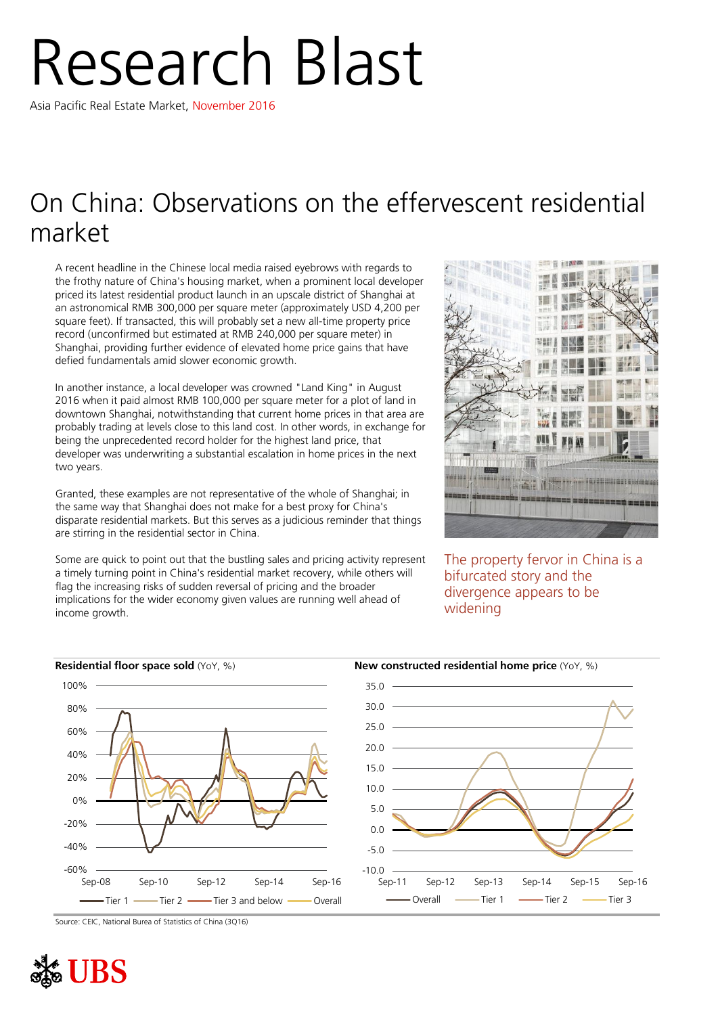# Research Blast

Asia Pacific Real Estate Market, November 2016

## On China: Observations on the effervescent residential market

A recent headline in the Chinese local media raised eyebrows with regards to the frothy nature of China's housing market, when a prominent local developer priced its latest residential product launch in an upscale district of Shanghai at an astronomical RMB 300,000 per square meter (approximately USD 4,200 per square feet). If transacted, this will probably set a new all-time property price record (unconfirmed but estimated at RMB 240,000 per square meter) in Shanghai, providing further evidence of elevated home price gains that have defied fundamentals amid slower economic growth.

In another instance, a local developer was crowned "Land King" in August 2016 when it paid almost RMB 100,000 per square meter for a plot of land in downtown Shanghai, notwithstanding that current home prices in that area are probably trading at levels close to this land cost. In other words, in exchange for being the unprecedented record holder for the highest land price, that developer was underwriting a substantial escalation in home prices in the next two years.

Granted, these examples are not representative of the whole of Shanghai; in the same way that Shanghai does not make for a best proxy for China's disparate residential markets. But this serves as a judicious reminder that things are stirring in the residential sector in China.

Some are quick to point out that the bustling sales and pricing activity represent a timely turning point in China's residential market recovery, while others will flag the increasing risks of sudden reversal of pricing and the broader implications for the wider economy given values are running well ahead of income growth.



The property fervor in China is a bifurcated story and the divergence appears to be widening



Source: CEIC, National Burea of Statistics of China (3Q16)

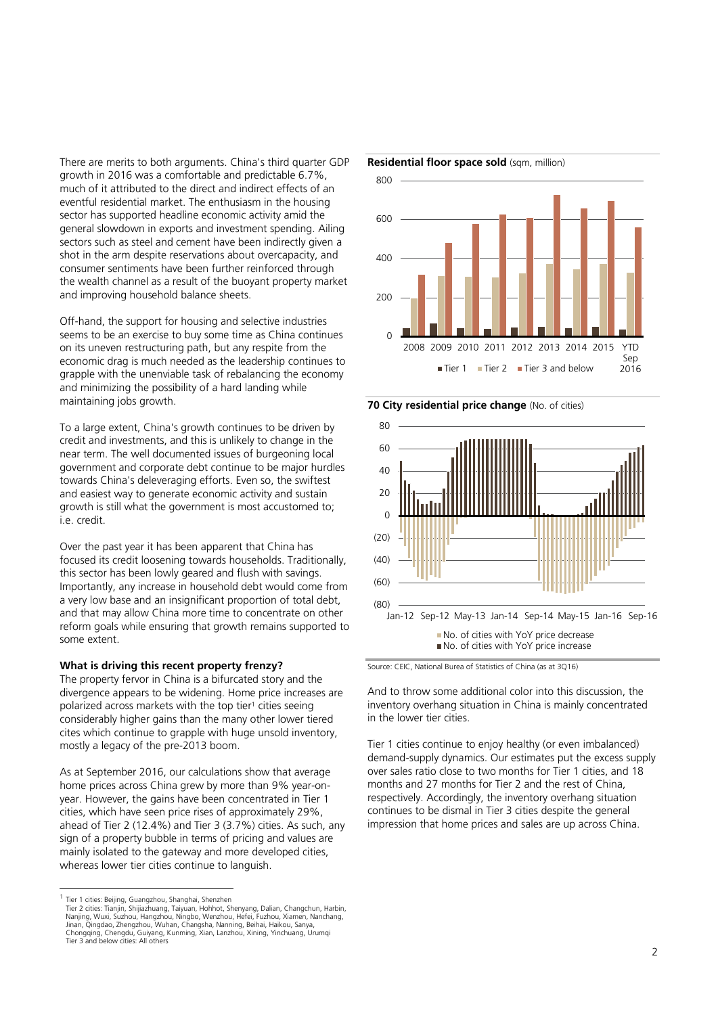There are merits to both arguments. China's third quarter GDP growth in 2016 was a comfortable and predictable 6.7%, much of it attributed to the direct and indirect effects of an eventful residential market. The enthusiasm in the housing sector has supported headline economic activity amid the general slowdown in exports and investment spending. Ailing sectors such as steel and cement have been indirectly given a shot in the arm despite reservations about overcapacity, and consumer sentiments have been further reinforced through the wealth channel as a result of the buoyant property market and improving household balance sheets.

Off-hand, the support for housing and selective industries seems to be an exercise to buy some time as China continues on its uneven restructuring path, but any respite from the economic drag is much needed as the leadership continues to grapple with the unenviable task of rebalancing the economy and minimizing the possibility of a hard landing while maintaining jobs growth.

To a large extent, China's growth continues to be driven by credit and investments, and this is unlikely to change in the near term. The well documented issues of burgeoning local government and corporate debt continue to be major hurdles towards China's deleveraging efforts. Even so, the swiftest and easiest way to generate economic activity and sustain growth is still what the government is most accustomed to; i.e. credit.

Over the past year it has been apparent that China has focused its credit loosening towards households. Traditionally, this sector has been lowly geared and flush with savings. Importantly, any increase in household debt would come from a very low base and an insignificant proportion of total debt, and that may allow China more time to concentrate on other reform goals while ensuring that growth remains supported to some extent.

#### **What is driving this recent property frenzy?**

The property fervor in China is a bifurcated story and the divergence appears to be widening. Home price increases are polarized across markets with the top tier<sup>1</sup> cities seeing considerably higher gains than the many other lower tiered cites which continue to grapple with huge unsold inventory, mostly a legacy of the pre-2013 boom.

As at September 2016, our calculations show that average home prices across China grew by more than 9% year-onyear. However, the gains have been concentrated in Tier 1 cities, which have seen price rises of approximately 29%, ahead of Tier 2 (12.4%) and Tier 3 (3.7%) cities. As such, any sign of a property bubble in terms of pricing and values are mainly isolated to the gateway and more developed cities, whereas lower tier cities continue to languish.







Source: CEIC, National Burea of Statistics of China (as at 3Q16)

And to throw some additional color into this discussion, the inventory overhang situation in China is mainly concentrated in the lower tier cities.

Tier 1 cities continue to enjoy healthy (or even imbalanced) demand-supply dynamics. Our estimates put the excess supply over sales ratio close to two months for Tier 1 cities, and 18 months and 27 months for Tier 2 and the rest of China, respectively. Accordingly, the inventory overhang situation continues to be dismal in Tier 3 cities despite the general impression that home prices and sales are up across China.

 1 Tier 1 cities: Beijing, Guangzhou, Shanghai, Shenzhen Tier 2 cities: Tianjin, Shijiazhuang, Taiyuan, Hohhot, Shenyang, Dalian, Changchun, Harbin,<br>Nanjing, Wuxi, Suzhou, Hangzhou, Ningbo, Wenzhou, Hefei, Fuzhou, Xiamen, Nanchang,<br>Jinan, Qingdao, Zhengzhou, Wuhan, Changsha, Nan Chongqing, Chengdu, Guiyang, Kunming, Xian, Lanzhou, Xining, Yinchuang, Urumqi Tier 3 and below cities: All others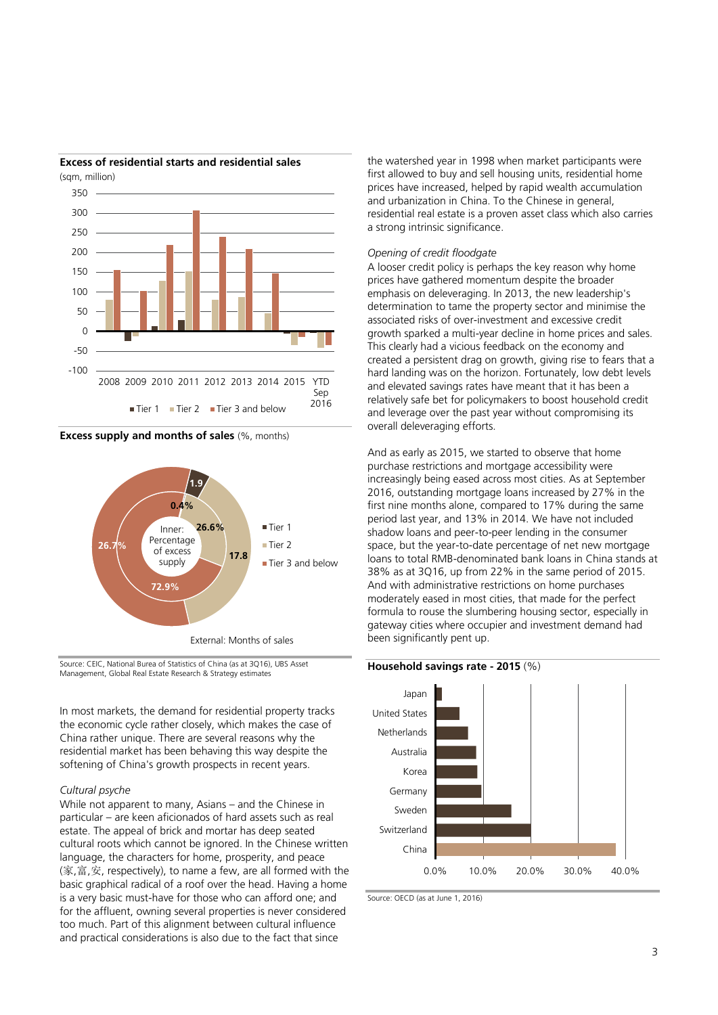

### **Excess of residential starts and residential sales**

**Excess supply and months of sales** (%, months)



Source: CEIC, National Burea of Statistics of China (as at 3Q16), UBS Asset Management, Global Real Estate Research & Strategy estimates

In most markets, the demand for residential property tracks the economic cycle rather closely, which makes the case of China rather unique. There are several reasons why the residential market has been behaving this way despite the softening of China's growth prospects in recent years.

#### *Cultural psyche*

While not apparent to many, Asians – and the Chinese in particular – are keen aficionados of hard assets such as real estate. The appeal of brick and mortar has deep seated cultural roots which cannot be ignored. In the Chinese written language, the characters for home, prosperity, and peace (家,富,安, respectively), to name a few, are all formed with the basic graphical radical of a roof over the head. Having a home is a very basic must-have for those who can afford one; and for the affluent, owning several properties is never considered too much. Part of this alignment between cultural influence and practical considerations is also due to the fact that since

the watershed year in 1998 when market participants were first allowed to buy and sell housing units, residential home prices have increased, helped by rapid wealth accumulation and urbanization in China. To the Chinese in general, residential real estate is a proven asset class which also carries a strong intrinsic significance.

#### *Opening of credit floodgate*

A looser credit policy is perhaps the key reason why home prices have gathered momentum despite the broader emphasis on deleveraging. In 2013, the new leadership's determination to tame the property sector and minimise the associated risks of over-investment and excessive credit growth sparked a multi-year decline in home prices and sales. This clearly had a vicious feedback on the economy and created a persistent drag on growth, giving rise to fears that a hard landing was on the horizon. Fortunately, low debt levels and elevated savings rates have meant that it has been a relatively safe bet for policymakers to boost household credit and leverage over the past year without compromising its overall deleveraging efforts.

And as early as 2015, we started to observe that home purchase restrictions and mortgage accessibility were increasingly being eased across most cities. As at September 2016, outstanding mortgage loans increased by 27% in the first nine months alone, compared to 17% during the same period last year, and 13% in 2014. We have not included shadow loans and peer-to-peer lending in the consumer space, but the year-to-date percentage of net new mortgage loans to total RMB-denominated bank loans in China stands at 38% as at 3Q16, up from 22% in the same period of 2015. And with administrative restrictions on home purchases moderately eased in most cities, that made for the perfect formula to rouse the slumbering housing sector, especially in gateway cities where occupier and investment demand had been significantly pent up.



Source: OECD (as at June 1, 2016)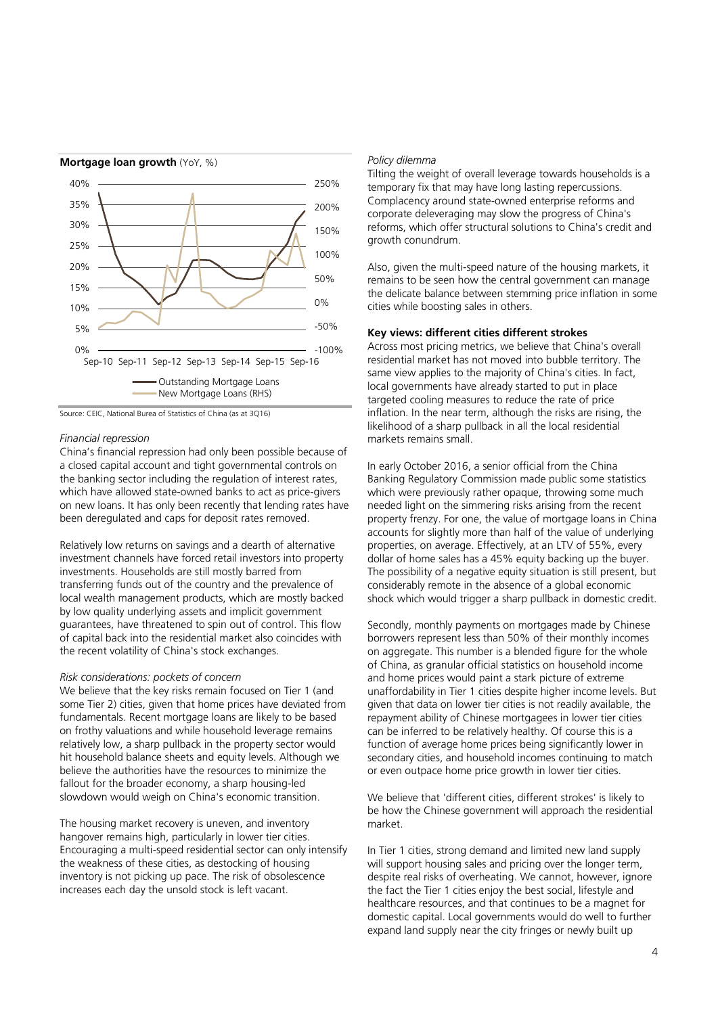

Source: CEIC, National Burea of Statistics of China (as at 3Q16)

#### *Financial repression*

China's financial repression had only been possible because of a closed capital account and tight governmental controls on the banking sector including the regulation of interest rates, which have allowed state-owned banks to act as price-givers on new loans. It has only been recently that lending rates have been deregulated and caps for deposit rates removed.

Relatively low returns on savings and a dearth of alternative investment channels have forced retail investors into property investments. Households are still mostly barred from transferring funds out of the country and the prevalence of local wealth management products, which are mostly backed by low quality underlying assets and implicit government guarantees, have threatened to spin out of control. This flow of capital back into the residential market also coincides with the recent volatility of China's stock exchanges.

#### *Risk considerations: pockets of concern*

We believe that the key risks remain focused on Tier 1 (and some Tier 2) cities, given that home prices have deviated from fundamentals. Recent mortgage loans are likely to be based on frothy valuations and while household leverage remains relatively low, a sharp pullback in the property sector would hit household balance sheets and equity levels. Although we believe the authorities have the resources to minimize the fallout for the broader economy, a sharp housing-led slowdown would weigh on China's economic transition.

The housing market recovery is uneven, and inventory hangover remains high, particularly in lower tier cities. Encouraging a multi-speed residential sector can only intensify the weakness of these cities, as destocking of housing inventory is not picking up pace. The risk of obsolescence increases each day the unsold stock is left vacant.

#### *Policy dilemma*

Tilting the weight of overall leverage towards households is a temporary fix that may have long lasting repercussions. Complacency around state-owned enterprise reforms and corporate deleveraging may slow the progress of China's reforms, which offer structural solutions to China's credit and growth conundrum.

Also, given the multi-speed nature of the housing markets, it remains to be seen how the central government can manage the delicate balance between stemming price inflation in some cities while boosting sales in others.

#### **Key views: different cities different strokes**

Across most pricing metrics, we believe that China's overall residential market has not moved into bubble territory. The same view applies to the majority of China's cities. In fact, local governments have already started to put in place targeted cooling measures to reduce the rate of price inflation. In the near term, although the risks are rising, the likelihood of a sharp pullback in all the local residential markets remains small.

In early October 2016, a senior official from the China Banking Regulatory Commission made public some statistics which were previously rather opaque, throwing some much needed light on the simmering risks arising from the recent property frenzy. For one, the value of mortgage loans in China accounts for slightly more than half of the value of underlying properties, on average. Effectively, at an LTV of 55%, every dollar of home sales has a 45% equity backing up the buyer. The possibility of a negative equity situation is still present, but considerably remote in the absence of a global economic shock which would trigger a sharp pullback in domestic credit.

Secondly, monthly payments on mortgages made by Chinese borrowers represent less than 50% of their monthly incomes on aggregate. This number is a blended figure for the whole of China, as granular official statistics on household income and home prices would paint a stark picture of extreme unaffordability in Tier 1 cities despite higher income levels. But given that data on lower tier cities is not readily available, the repayment ability of Chinese mortgagees in lower tier cities can be inferred to be relatively healthy. Of course this is a function of average home prices being significantly lower in secondary cities, and household incomes continuing to match or even outpace home price growth in lower tier cities.

We believe that 'different cities, different strokes' is likely to be how the Chinese government will approach the residential market.

In Tier 1 cities, strong demand and limited new land supply will support housing sales and pricing over the longer term, despite real risks of overheating. We cannot, however, ignore the fact the Tier 1 cities enjoy the best social, lifestyle and healthcare resources, and that continues to be a magnet for domestic capital. Local governments would do well to further expand land supply near the city fringes or newly built up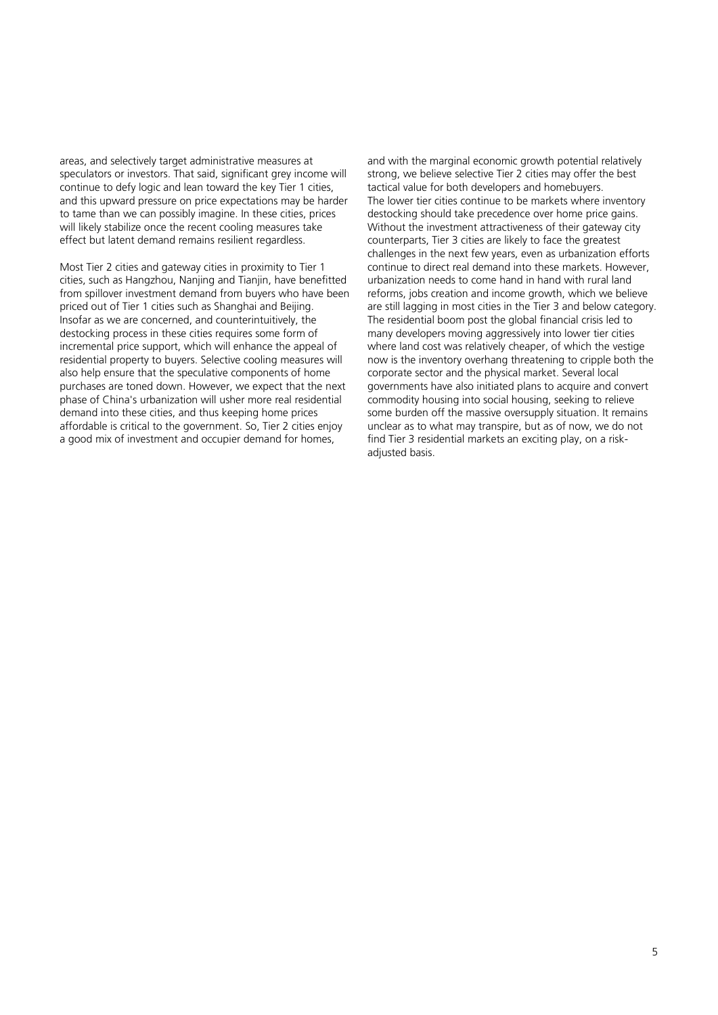areas, and selectively target administrative measures at speculators or investors. That said, significant grey income will continue to defy logic and lean toward the key Tier 1 cities, and this upward pressure on price expectations may be harder to tame than we can possibly imagine. In these cities, prices will likely stabilize once the recent cooling measures take effect but latent demand remains resilient regardless.

Most Tier 2 cities and gateway cities in proximity to Tier 1 cities, such as Hangzhou, Nanjing and Tianjin, have benefitted from spillover investment demand from buyers who have been priced out of Tier 1 cities such as Shanghai and Beijing. Insofar as we are concerned, and counterintuitively, the destocking process in these cities requires some form of incremental price support, which will enhance the appeal of residential property to buyers. Selective cooling measures will also help ensure that the speculative components of home purchases are toned down. However, we expect that the next phase of China's urbanization will usher more real residential demand into these cities, and thus keeping home prices affordable is critical to the government. So, Tier 2 cities enjoy a good mix of investment and occupier demand for homes,

and with the marginal economic growth potential relatively strong, we believe selective Tier 2 cities may offer the best tactical value for both developers and homebuyers. The lower tier cities continue to be markets where inventory destocking should take precedence over home price gains. Without the investment attractiveness of their gateway city counterparts, Tier 3 cities are likely to face the greatest challenges in the next few years, even as urbanization efforts continue to direct real demand into these markets. However, urbanization needs to come hand in hand with rural land reforms, jobs creation and income growth, which we believe are still lagging in most cities in the Tier 3 and below category. The residential boom post the global financial crisis led to many developers moving aggressively into lower tier cities where land cost was relatively cheaper, of which the vestige now is the inventory overhang threatening to cripple both the corporate sector and the physical market. Several local governments have also initiated plans to acquire and convert commodity housing into social housing, seeking to relieve some burden off the massive oversupply situation. It remains unclear as to what may transpire, but as of now, we do not find Tier 3 residential markets an exciting play, on a riskadjusted basis.